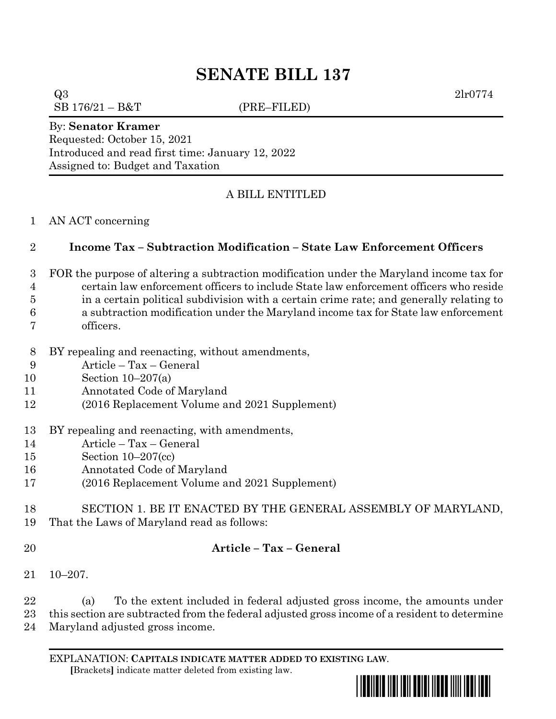# **SENATE BILL 137**

 $Q3 \t2lr0774$  $SB 176/21 - B&T$  (PRE–FILED)

#### By: **Senator Kramer**

Requested: October 15, 2021 Introduced and read first time: January 12, 2022 Assigned to: Budget and Taxation

## A BILL ENTITLED

### AN ACT concerning

## **Income Tax – Subtraction Modification – State Law Enforcement Officers**

- FOR the purpose of altering a subtraction modification under the Maryland income tax for
- certain law enforcement officers to include State law enforcement officers who reside
- in a certain political subdivision with a certain crime rate; and generally relating to a subtraction modification under the Maryland income tax for State law enforcement
- officers.
- BY repealing and reenacting, without amendments,
- Article Tax General
- Section 10–207(a)
- Annotated Code of Maryland
- (2016 Replacement Volume and 2021 Supplement)
- BY repealing and reenacting, with amendments,
- Article Tax General
- Section 10–207(cc)
- Annotated Code of Maryland
- (2016 Replacement Volume and 2021 Supplement)
- SECTION 1. BE IT ENACTED BY THE GENERAL ASSEMBLY OF MARYLAND,
- That the Laws of Maryland read as follows:
- 

## **Article – Tax – General**

10–207.

 (a) To the extent included in federal adjusted gross income, the amounts under this section are subtracted from the federal adjusted gross income of a resident to determine Maryland adjusted gross income.

EXPLANATION: **CAPITALS INDICATE MATTER ADDED TO EXISTING LAW**.  **[**Brackets**]** indicate matter deleted from existing law.

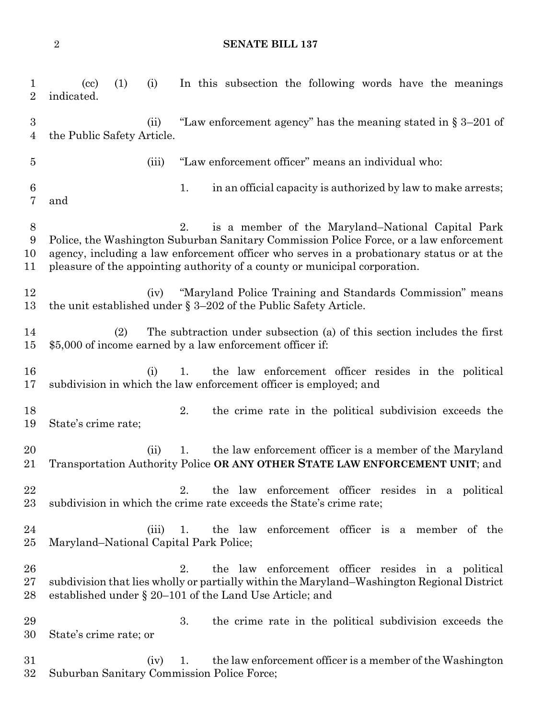#### **SENATE BILL 137**

 (cc) (1) (i) In this subsection the following words have the meanings indicated. (ii) "Law enforcement agency" has the meaning stated in § 3–201 of the Public Safety Article. (iii) "Law enforcement officer" means an individual who: 1. in an official capacity is authorized by law to make arrests; and 2. is a member of the Maryland–National Capital Park Police, the Washington Suburban Sanitary Commission Police Force, or a law enforcement agency, including a law enforcement officer who serves in a probationary status or at the pleasure of the appointing authority of a county or municipal corporation. (iv) "Maryland Police Training and Standards Commission" means the unit established under § 3–202 of the Public Safety Article. (2) The subtraction under subsection (a) of this section includes the first \$5,000 of income earned by a law enforcement officer if: (i) 1. the law enforcement officer resides in the political subdivision in which the law enforcement officer is employed; and 2. the crime rate in the political subdivision exceeds the State's crime rate; (ii) 1. the law enforcement officer is a member of the Maryland Transportation Authority Police **OR ANY OTHER STATE LAW ENFORCEMENT UNIT**; and 2. the law enforcement officer resides in a political subdivision in which the crime rate exceeds the State's crime rate; (iii) 1. the law enforcement officer is a member of the Maryland–National Capital Park Police; 2. the law enforcement officer resides in a political subdivision that lies wholly or partially within the Maryland–Washington Regional District established under § 20–101 of the Land Use Article; and 3. the crime rate in the political subdivision exceeds the State's crime rate; or (iv) 1. the law enforcement officer is a member of the Washington Suburban Sanitary Commission Police Force;